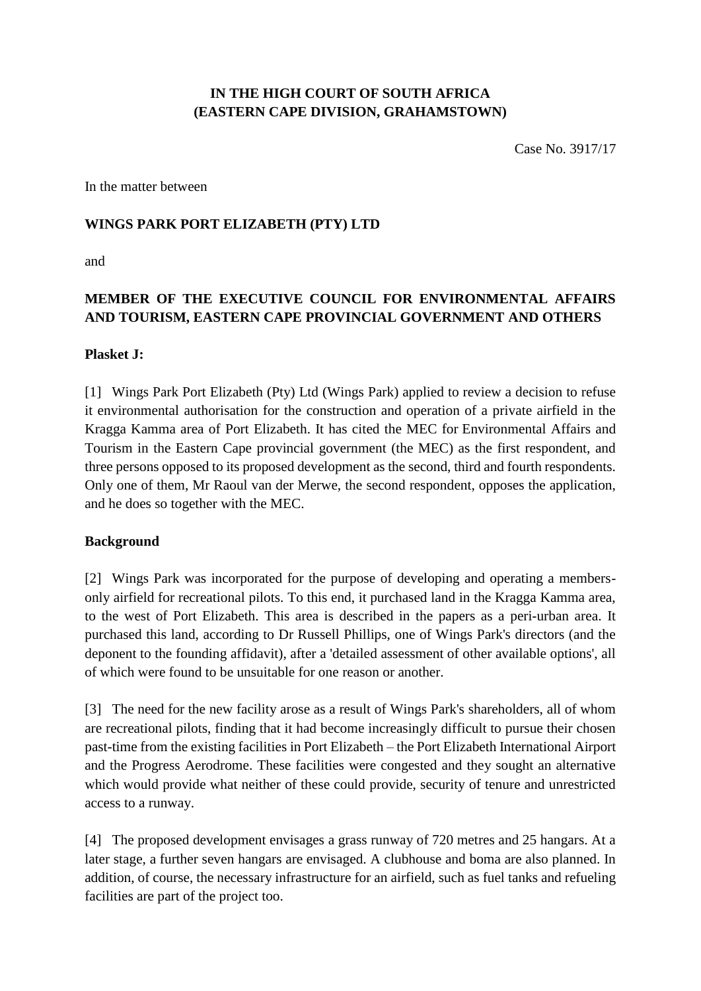### **IN THE HIGH COURT OF SOUTH AFRICA (EASTERN CAPE DIVISION, GRAHAMSTOWN)**

Case No. 3917/17

In the matter between

#### **WINGS PARK PORT ELIZABETH (PTY) LTD**

and

# **MEMBER OF THE EXECUTIVE COUNCIL FOR ENVIRONMENTAL AFFAIRS AND TOURISM, EASTERN CAPE PROVINCIAL GOVERNMENT AND OTHERS**

#### **Plasket J:**

[1] Wings Park Port Elizabeth (Pty) Ltd (Wings Park) applied to review a decision to refuse it environmental authorisation for the construction and operation of a private airfield in the Kragga Kamma area of Port Elizabeth. It has cited the MEC for Environmental Affairs and Tourism in the Eastern Cape provincial government (the MEC) as the first respondent, and three persons opposed to its proposed development as the second, third and fourth respondents. Only one of them, Mr Raoul van der Merwe, the second respondent, opposes the application, and he does so together with the MEC.

#### **Background**

[2] Wings Park was incorporated for the purpose of developing and operating a membersonly airfield for recreational pilots. To this end, it purchased land in the Kragga Kamma area, to the west of Port Elizabeth. This area is described in the papers as a peri-urban area. It purchased this land, according to Dr Russell Phillips, one of Wings Park's directors (and the deponent to the founding affidavit), after a 'detailed assessment of other available options', all of which were found to be unsuitable for one reason or another.

[3] The need for the new facility arose as a result of Wings Park's shareholders, all of whom are recreational pilots, finding that it had become increasingly difficult to pursue their chosen past-time from the existing facilities in Port Elizabeth – the Port Elizabeth International Airport and the Progress Aerodrome. These facilities were congested and they sought an alternative which would provide what neither of these could provide, security of tenure and unrestricted access to a runway.

[4] The proposed development envisages a grass runway of 720 metres and 25 hangars. At a later stage, a further seven hangars are envisaged. A clubhouse and boma are also planned. In addition, of course, the necessary infrastructure for an airfield, such as fuel tanks and refueling facilities are part of the project too.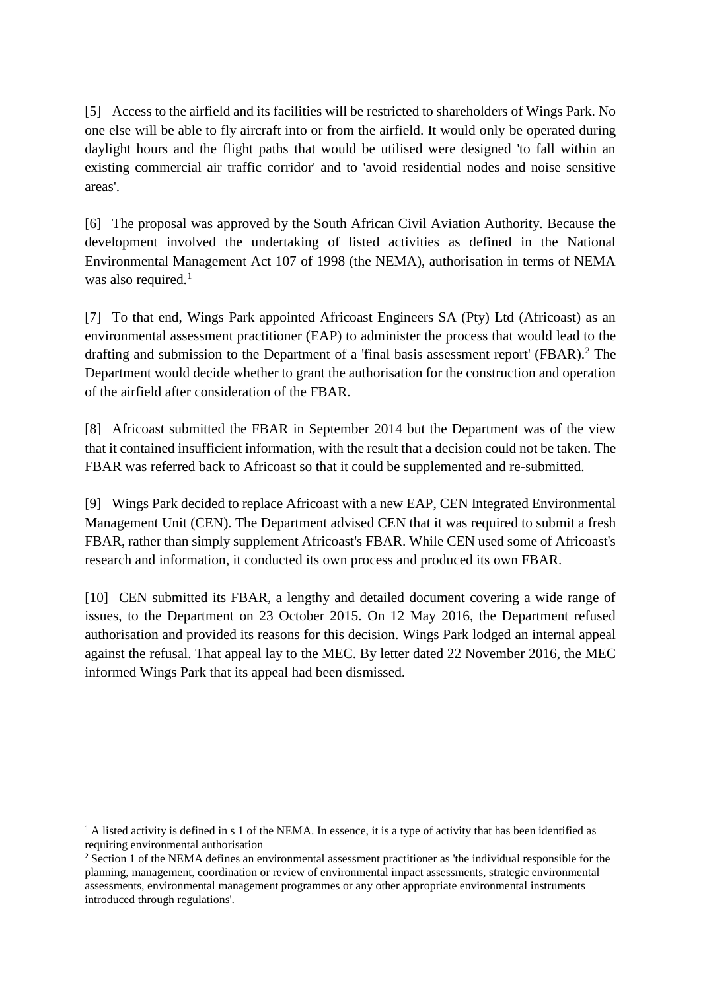[5] Access to the airfield and its facilities will be restricted to shareholders of Wings Park. No one else will be able to fly aircraft into or from the airfield. It would only be operated during daylight hours and the flight paths that would be utilised were designed 'to fall within an existing commercial air traffic corridor' and to 'avoid residential nodes and noise sensitive areas'.

[6] The proposal was approved by the South African Civil Aviation Authority. Because the development involved the undertaking of listed activities as defined in the National Environmental Management Act 107 of 1998 (the NEMA), authorisation in terms of NEMA was also required. $<sup>1</sup>$ </sup>

[7] To that end, Wings Park appointed Africoast Engineers SA (Pty) Ltd (Africoast) as an environmental assessment practitioner (EAP) to administer the process that would lead to the drafting and submission to the Department of a 'final basis assessment report' (FBAR).<sup>2</sup> The Department would decide whether to grant the authorisation for the construction and operation of the airfield after consideration of the FBAR.

[8] Africoast submitted the FBAR in September 2014 but the Department was of the view that it contained insufficient information, with the result that a decision could not be taken. The FBAR was referred back to Africoast so that it could be supplemented and re-submitted.

[9] Wings Park decided to replace Africoast with a new EAP, CEN Integrated Environmental Management Unit (CEN). The Department advised CEN that it was required to submit a fresh FBAR, rather than simply supplement Africoast's FBAR. While CEN used some of Africoast's research and information, it conducted its own process and produced its own FBAR.

[10] CEN submitted its FBAR, a lengthy and detailed document covering a wide range of issues, to the Department on 23 October 2015. On 12 May 2016, the Department refused authorisation and provided its reasons for this decision. Wings Park lodged an internal appeal against the refusal. That appeal lay to the MEC. By letter dated 22 November 2016, the MEC informed Wings Park that its appeal had been dismissed.

 $\overline{a}$ 

<sup>&</sup>lt;sup>1</sup> A listed activity is defined in s 1 of the NEMA. In essence, it is a type of activity that has been identified as requiring environmental authorisation

<sup>&</sup>lt;sup>2</sup> Section 1 of the NEMA defines an environmental assessment practitioner as 'the individual responsible for the planning, management, coordination or review of environmental impact assessments, strategic environmental assessments, environmental management programmes or any other appropriate environmental instruments introduced through regulations'.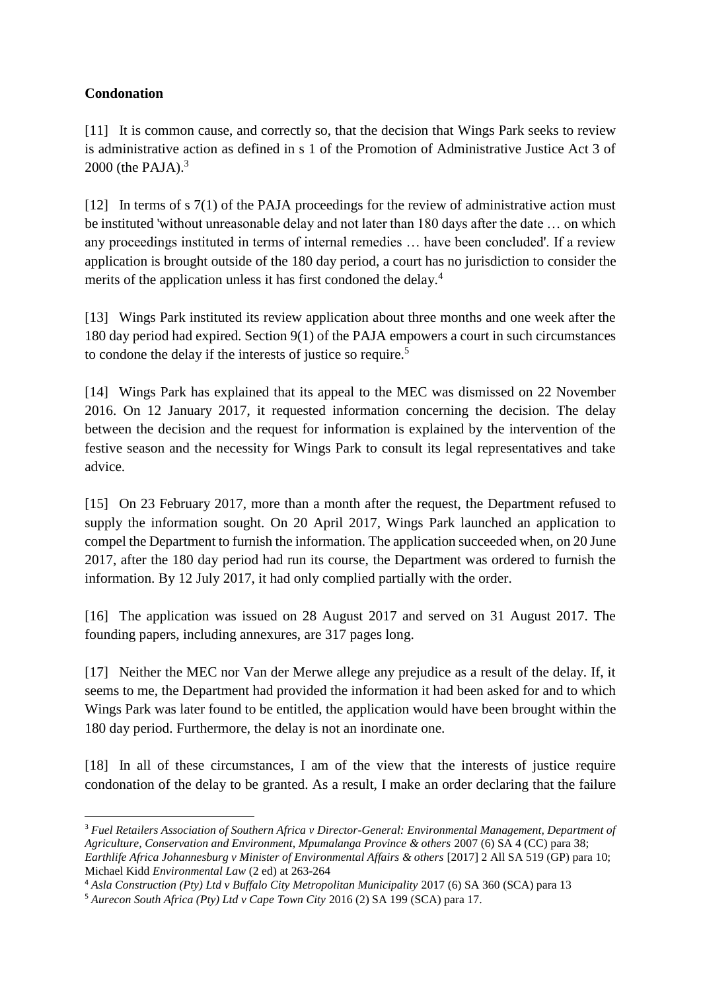### **Condonation**

 $\overline{a}$ 

[11] It is common cause, and correctly so, that the decision that Wings Park seeks to review is administrative action as defined in s 1 of the Promotion of Administrative Justice Act 3 of 2000 (the PAJA). $3$ 

[12] In terms of s 7(1) of the PAJA proceedings for the review of administrative action must be instituted 'without unreasonable delay and not later than 180 days after the date … on which any proceedings instituted in terms of internal remedies … have been concluded'. If a review application is brought outside of the 180 day period, a court has no jurisdiction to consider the merits of the application unless it has first condoned the delay.<sup>4</sup>

[13] Wings Park instituted its review application about three months and one week after the 180 day period had expired. Section 9(1) of the PAJA empowers a court in such circumstances to condone the delay if the interests of justice so require.<sup>5</sup>

[14] Wings Park has explained that its appeal to the MEC was dismissed on 22 November 2016. On 12 January 2017, it requested information concerning the decision. The delay between the decision and the request for information is explained by the intervention of the festive season and the necessity for Wings Park to consult its legal representatives and take advice.

[15] On 23 February 2017, more than a month after the request, the Department refused to supply the information sought. On 20 April 2017, Wings Park launched an application to compel the Department to furnish the information. The application succeeded when, on 20 June 2017, after the 180 day period had run its course, the Department was ordered to furnish the information. By 12 July 2017, it had only complied partially with the order.

[16] The application was issued on 28 August 2017 and served on 31 August 2017. The founding papers, including annexures, are 317 pages long.

[17] Neither the MEC nor Van der Merwe allege any prejudice as a result of the delay. If, it seems to me, the Department had provided the information it had been asked for and to which Wings Park was later found to be entitled, the application would have been brought within the 180 day period. Furthermore, the delay is not an inordinate one.

[18] In all of these circumstances, I am of the view that the interests of justice require condonation of the delay to be granted. As a result, I make an order declaring that the failure

<sup>3</sup> *Fuel Retailers Association of Southern Africa v Director-General: Environmental Management, Department of Agriculture, Conservation and Environment, Mpumalanga Province & others* 2007 (6) SA 4 (CC) para 38; *Earthlife Africa Johannesburg v Minister of Environmental Affairs & others* [2017] 2 All SA 519 (GP) para 10; Michael Kidd *Environmental Law* (2 ed) at 263-264

<sup>4</sup> *Asla Construction (Pty) Ltd v Buffalo City Metropolitan Municipality* 2017 (6) SA 360 (SCA) para 13 <sup>5</sup> *Aurecon South Africa (Pty) Ltd v Cape Town City* 2016 (2) SA 199 (SCA) para 17.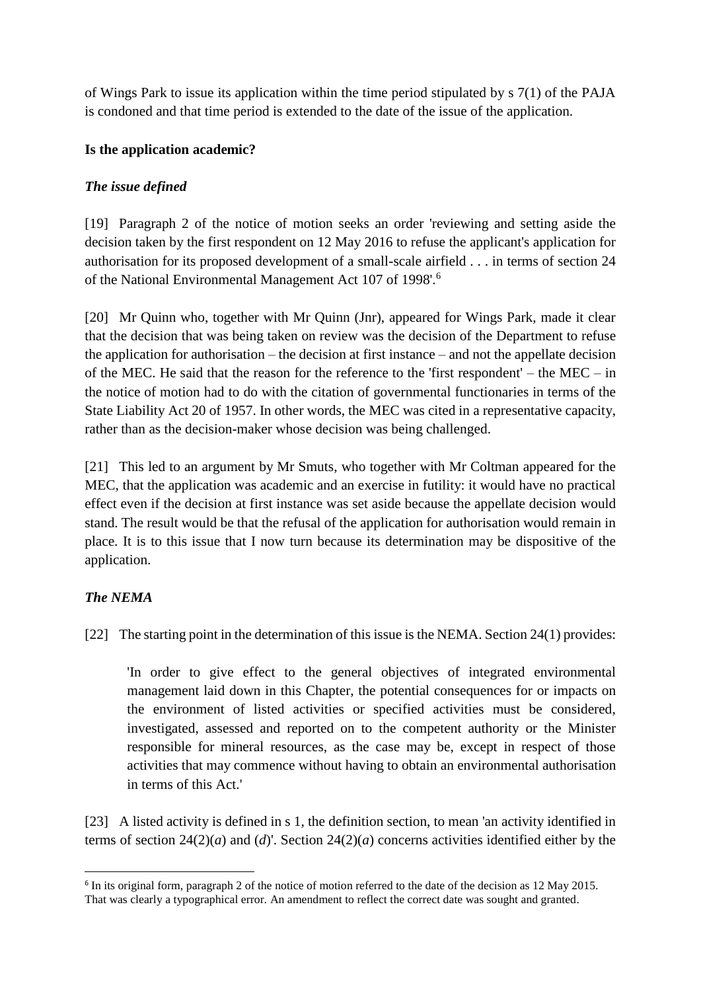of Wings Park to issue its application within the time period stipulated by s 7(1) of the PAJA is condoned and that time period is extended to the date of the issue of the application.

### **Is the application academic?**

### *The issue defined*

[19] Paragraph 2 of the notice of motion seeks an order 'reviewing and setting aside the decision taken by the first respondent on 12 May 2016 to refuse the applicant's application for authorisation for its proposed development of a small-scale airfield . . . in terms of section 24 of the National Environmental Management Act 107 of 1998'.<sup>6</sup>

[20] Mr Quinn who, together with Mr Quinn (Jnr), appeared for Wings Park, made it clear that the decision that was being taken on review was the decision of the Department to refuse the application for authorisation – the decision at first instance – and not the appellate decision of the MEC. He said that the reason for the reference to the 'first respondent' – the MEC – in the notice of motion had to do with the citation of governmental functionaries in terms of the State Liability Act 20 of 1957. In other words, the MEC was cited in a representative capacity, rather than as the decision-maker whose decision was being challenged.

[21] This led to an argument by Mr Smuts, who together with Mr Coltman appeared for the MEC, that the application was academic and an exercise in futility: it would have no practical effect even if the decision at first instance was set aside because the appellate decision would stand. The result would be that the refusal of the application for authorisation would remain in place. It is to this issue that I now turn because its determination may be dispositive of the application.

## *The NEMA*

**.** 

[22] The starting point in the determination of this issue is the NEMA. Section 24(1) provides:

'In order to give effect to the general objectives of integrated environmental management laid down in this Chapter, the potential consequences for or impacts on the environment of listed activities or specified activities must be considered, investigated, assessed and reported on to the competent authority or the Minister responsible for mineral resources, as the case may be, except in respect of those activities that may commence without having to obtain an environmental authorisation in terms of this Act.'

[23] A listed activity is defined in s 1, the definition section, to mean 'an activity identified in terms of section 24(2)(*a*) and (*d*)'. Section 24(2)(*a*) concerns activities identified either by the

<sup>&</sup>lt;sup>6</sup> In its original form, paragraph 2 of the notice of motion referred to the date of the decision as 12 May 2015. That was clearly a typographical error. An amendment to reflect the correct date was sought and granted.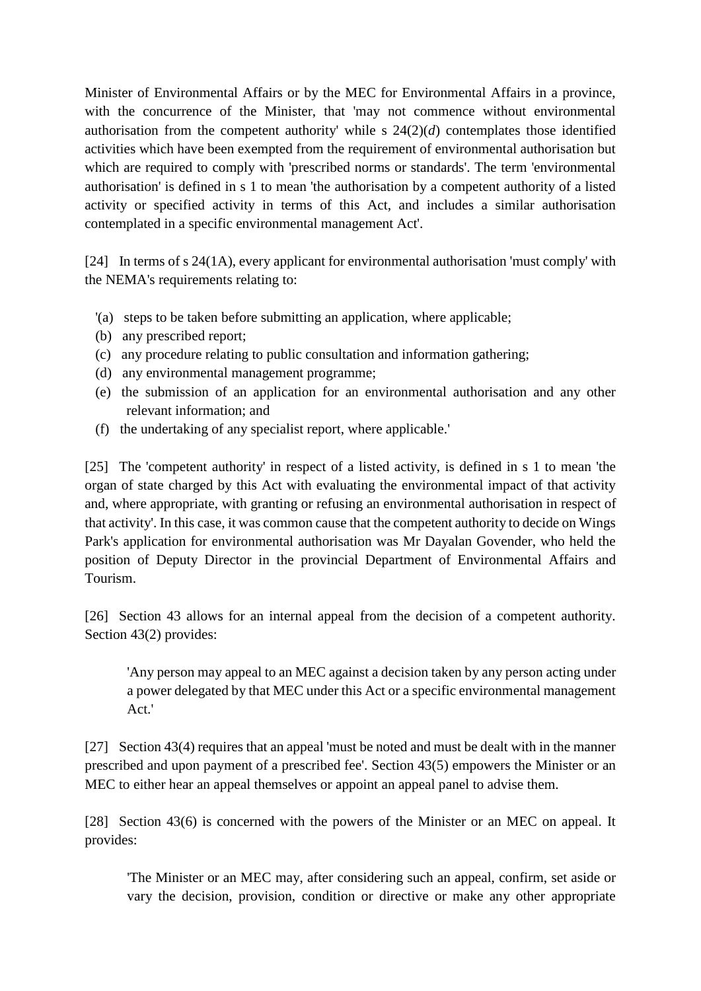Minister of Environmental Affairs or by the MEC for Environmental Affairs in a province, with the concurrence of the Minister, that 'may not commence without environmental authorisation from the competent authority' while s 24(2)(*d*) contemplates those identified activities which have been exempted from the requirement of environmental authorisation but which are required to comply with 'prescribed norms or standards'. The term 'environmental authorisation' is defined in s 1 to mean 'the authorisation by a competent authority of a listed activity or specified activity in terms of this Act, and includes a similar authorisation contemplated in a specific environmental management Act'.

[24] In terms of s 24(1A), every applicant for environmental authorisation 'must comply' with the NEMA's requirements relating to:

- '(a) steps to be taken before submitting an application, where applicable;
- (b) any prescribed report;
- (c) any procedure relating to public consultation and information gathering;
- (d) any environmental management programme;
- (e) the submission of an application for an environmental authorisation and any other relevant information; and
- (f) the undertaking of any specialist report, where applicable.'

[25] The 'competent authority' in respect of a listed activity, is defined in s 1 to mean 'the organ of state charged by this Act with evaluating the environmental impact of that activity and, where appropriate, with granting or refusing an environmental authorisation in respect of that activity'. In this case, it was common cause that the competent authority to decide on Wings Park's application for environmental authorisation was Mr Dayalan Govender, who held the position of Deputy Director in the provincial Department of Environmental Affairs and Tourism.

[26] Section 43 allows for an internal appeal from the decision of a competent authority. Section 43(2) provides:

'Any person may appeal to an MEC against a decision taken by any person acting under a power delegated by that MEC under this Act or a specific environmental management Act.'

[27] Section 43(4) requires that an appeal 'must be noted and must be dealt with in the manner prescribed and upon payment of a prescribed fee'. Section 43(5) empowers the Minister or an MEC to either hear an appeal themselves or appoint an appeal panel to advise them.

[28] Section 43(6) is concerned with the powers of the Minister or an MEC on appeal. It provides:

'The Minister or an MEC may, after considering such an appeal, confirm, set aside or vary the decision, provision, condition or directive or make any other appropriate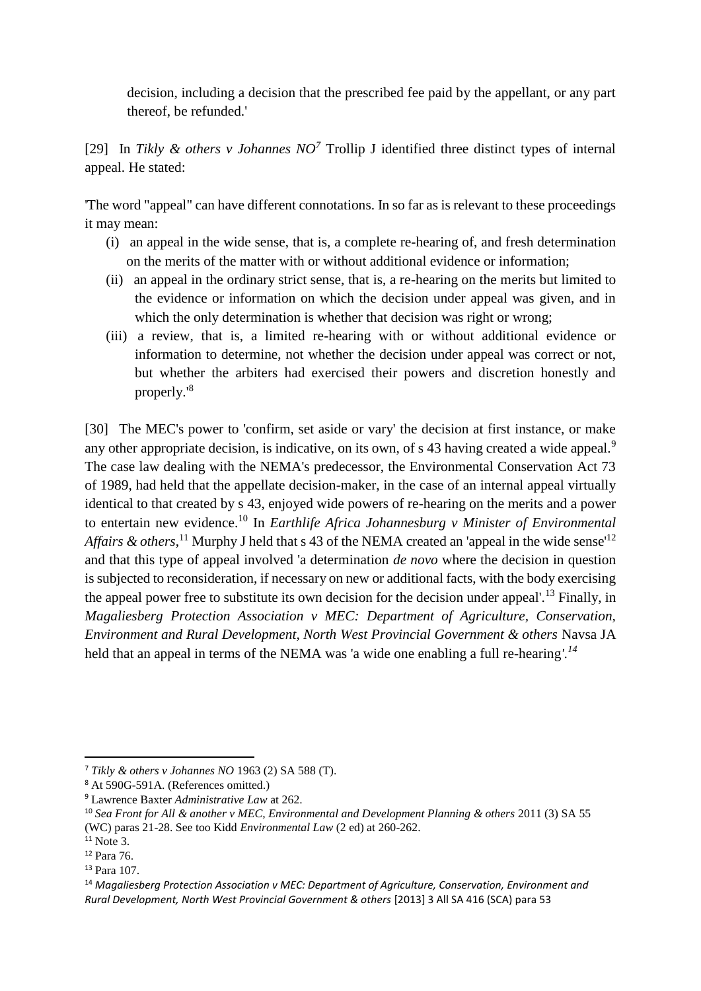decision, including a decision that the prescribed fee paid by the appellant, or any part thereof, be refunded.'

[29] In *Tikly & others v Johannes NO<sup>7</sup>* Trollip J identified three distinct types of internal appeal. He stated:

'The word "appeal" can have different connotations. In so far as is relevant to these proceedings it may mean:

- (i) an appeal in the wide sense, that is, a complete re-hearing of, and fresh determination on the merits of the matter with or without additional evidence or information;
- (ii) an appeal in the ordinary strict sense, that is, a re-hearing on the merits but limited to the evidence or information on which the decision under appeal was given, and in which the only determination is whether that decision was right or wrong;
- (iii) a review, that is, a limited re-hearing with or without additional evidence or information to determine, not whether the decision under appeal was correct or not, but whether the arbiters had exercised their powers and discretion honestly and properly.'<sup>8</sup>

[30] The MEC's power to 'confirm, set aside or vary' the decision at first instance, or make any other appropriate decision, is indicative, on its own, of s 43 having created a wide appeal.<sup>9</sup> The case law dealing with the NEMA's predecessor, the Environmental Conservation Act 73 of 1989, had held that the appellate decision-maker, in the case of an internal appeal virtually identical to that created by s 43, enjoyed wide powers of re-hearing on the merits and a power to entertain new evidence.<sup>10</sup> In *Earthlife Africa Johannesburg v Minister of Environmental*  Affairs & others,<sup>11</sup> Murphy J held that s 43 of the NEMA created an 'appeal in the wide sense<sup>'12</sup> and that this type of appeal involved 'a determination *de novo* where the decision in question is subjected to reconsideration, if necessary on new or additional facts, with the body exercising the appeal power free to substitute its own decision for the decision under appeal'.<sup>13</sup> Finally, in *Magaliesberg Protection Association v MEC: Department of Agriculture, Conservation, Environment and Rural Development, North West Provincial Government & others* Navsa JA held that an appeal in terms of the NEMA was 'a wide one enabling a full re-hearing*'.<sup>14</sup>*

**.** 

<sup>7</sup> *Tikly & others v Johannes NO* 1963 (2) SA 588 (T).

<sup>8</sup> At 590G-591A. (References omitted.)

<sup>9</sup> Lawrence Baxter *Administrative Law* at 262.

<sup>&</sup>lt;sup>10</sup> Sea Front for All & another v MEC, Environmental and Development Planning & others 2011 (3) SA 55 (WC) paras 21-28. See too Kidd *Environmental Law* (2 ed) at 260-262.

 $11$  Note 3.

<sup>12</sup> Para 76.

<sup>13</sup> Para 107.

<sup>14</sup> *Magaliesberg Protection Association v MEC: Department of Agriculture, Conservation, Environment and Rural Development, North West Provincial Government & others* [2013] 3 All SA 416 (SCA) para 53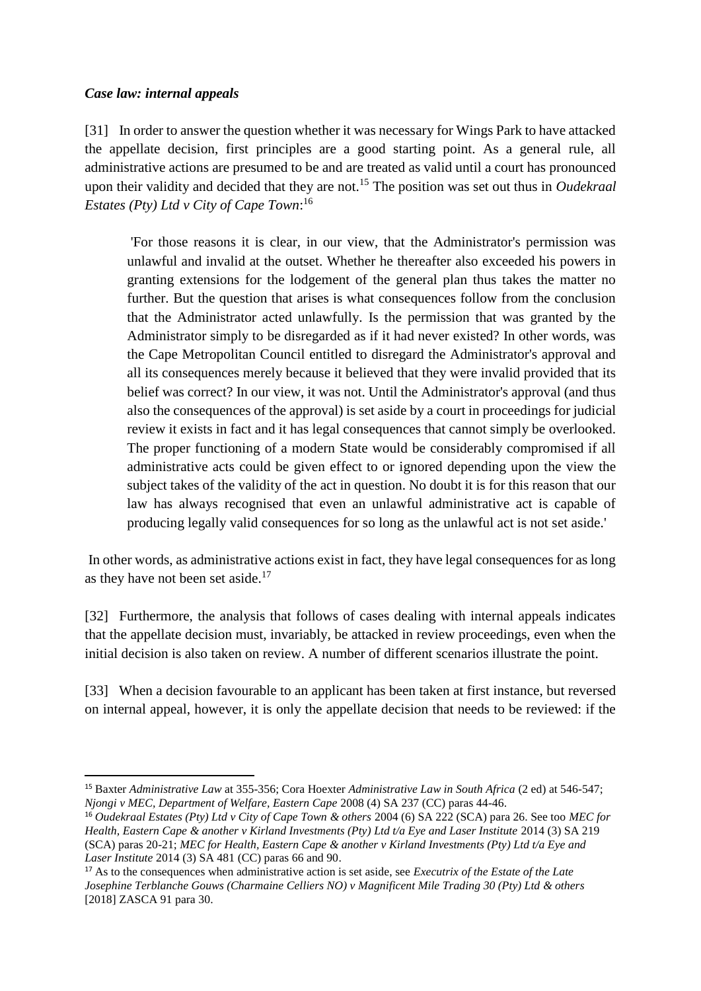#### *Case law: internal appeals*

**.** 

[31] In order to answer the question whether it was necessary for Wings Park to have attacked the appellate decision, first principles are a good starting point. As a general rule, all administrative actions are presumed to be and are treated as valid until a court has pronounced upon their validity and decided that they are not.<sup>15</sup> The position was set out thus in *Oudekraal Estates (Pty) Ltd v City of Cape Town*: 16

'For those reasons it is clear, in our view, that the Administrator's permission was unlawful and invalid at the outset. Whether he thereafter also exceeded his powers in granting extensions for the lodgement of the general plan thus takes the matter no further. But the question that arises is what consequences follow from the conclusion that the Administrator acted unlawfully. Is the permission that was granted by the Administrator simply to be disregarded as if it had never existed? In other words, was the Cape Metropolitan Council entitled to disregard the Administrator's approval and all its consequences merely because it believed that they were invalid provided that its belief was correct? In our view, it was not. Until the Administrator's approval (and thus also the consequences of the approval) is set aside by a court in proceedings for judicial review it exists in fact and it has legal consequences that cannot simply be overlooked. The proper functioning of a modern State would be considerably compromised if all administrative acts could be given effect to or ignored depending upon the view the subject takes of the validity of the act in question. No doubt it is for this reason that our law has always recognised that even an unlawful administrative act is capable of producing legally valid consequences for so long as the unlawful act is not set aside.'

In other words, as administrative actions exist in fact, they have legal consequences for as long as they have not been set aside. $17$ 

[32] Furthermore, the analysis that follows of cases dealing with internal appeals indicates that the appellate decision must, invariably, be attacked in review proceedings, even when the initial decision is also taken on review. A number of different scenarios illustrate the point.

[33] When a decision favourable to an applicant has been taken at first instance, but reversed on internal appeal, however, it is only the appellate decision that needs to be reviewed: if the

<sup>15</sup> Baxter *Administrative Law* at 355-356; Cora Hoexter *Administrative Law in South Africa* (2 ed) at 546-547; *Njongi v MEC, Department of Welfare, Eastern Cape* 2008 (4) SA 237 (CC) paras 44-46.

<sup>16</sup> *Oudekraal Estates (Pty) Ltd v City of Cape Town & others* 2004 (6) SA 222 (SCA) para 26. See too *MEC for Health, Eastern Cape & another v Kirland Investments (Pty) Ltd t/a Eye and Laser Institute* 2014 (3) SA 219 (SCA) paras 20-21; *MEC for Health, Eastern Cape & another v Kirland Investments (Pty) Ltd t/a Eye and Laser Institute* 2014 (3) SA 481 (CC) paras 66 and 90.

<sup>17</sup> As to the consequences when administrative action is set aside, see *Executrix of the Estate of the Late Josephine Terblanche Gouws (Charmaine Celliers NO) v Magnificent Mile Trading 30 (Pty) Ltd & others* [2018] ZASCA 91 para 30.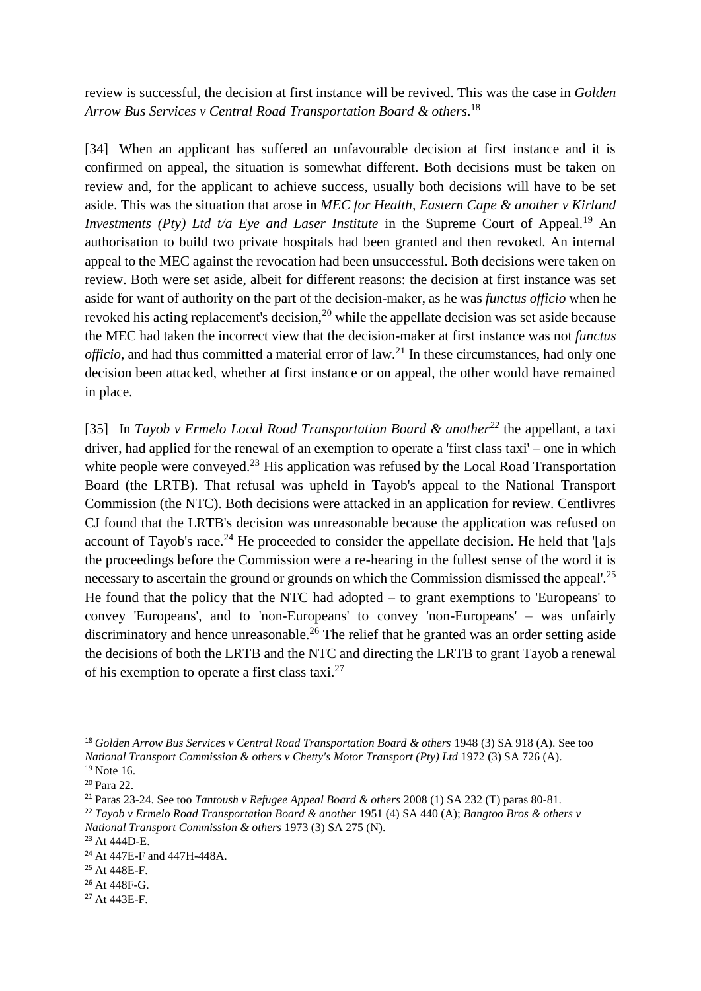review is successful, the decision at first instance will be revived. This was the case in *Golden Arrow Bus Services v Central Road Transportation Board & others*. 18

[34] When an applicant has suffered an unfavourable decision at first instance and it is confirmed on appeal, the situation is somewhat different. Both decisions must be taken on review and, for the applicant to achieve success, usually both decisions will have to be set aside. This was the situation that arose in *MEC for Health, Eastern Cape & another v Kirland Investments (Pty) Ltd t/a Eye and Laser Institute* in the Supreme Court of Appeal.<sup>19</sup> An authorisation to build two private hospitals had been granted and then revoked. An internal appeal to the MEC against the revocation had been unsuccessful. Both decisions were taken on review. Both were set aside, albeit for different reasons: the decision at first instance was set aside for want of authority on the part of the decision-maker, as he was *functus officio* when he revoked his acting replacement's decision,<sup>20</sup> while the appellate decision was set aside because the MEC had taken the incorrect view that the decision-maker at first instance was not *functus officio*, and had thus committed a material error of law.<sup>21</sup> In these circumstances, had only one decision been attacked, whether at first instance or on appeal, the other would have remained in place.

[35] In *Tayob v Ermelo Local Road Transportation Board & another<sup>22</sup>* the appellant, a taxi driver, had applied for the renewal of an exemption to operate a 'first class taxi' – one in which white people were conveyed.<sup>23</sup> His application was refused by the Local Road Transportation Board (the LRTB). That refusal was upheld in Tayob's appeal to the National Transport Commission (the NTC). Both decisions were attacked in an application for review. Centlivres CJ found that the LRTB's decision was unreasonable because the application was refused on account of Tayob's race.<sup>24</sup> He proceeded to consider the appellate decision. He held that '[a]s the proceedings before the Commission were a re-hearing in the fullest sense of the word it is necessary to ascertain the ground or grounds on which the Commission dismissed the appeal'.<sup>25</sup> He found that the policy that the NTC had adopted  $-$  to grant exemptions to 'Europeans' to convey 'Europeans', and to 'non-Europeans' to convey 'non-Europeans' – was unfairly discriminatory and hence unreasonable.<sup>26</sup> The relief that he granted was an order setting aside the decisions of both the LRTB and the NTC and directing the LRTB to grant Tayob a renewal of his exemption to operate a first class taxi. $27$ 

1

<sup>18</sup> *Golden Arrow Bus Services v Central Road Transportation Board & others* 1948 (3) SA 918 (A). See too *National Transport Commission & others v Chetty's Motor Transport (Pty) Ltd* 1972 (3) SA 726 (A).  $19$  Note 16.

<sup>20</sup> Para 22.

<sup>21</sup> Paras 23-24. See too *Tantoush v Refugee Appeal Board & others* 2008 (1) SA 232 (T) paras 80-81.

<sup>22</sup> *Tayob v Ermelo Road Transportation Board & another* 1951 (4) SA 440 (A); *Bangtoo Bros & others v National Transport Commission & others* 1973 (3) SA 275 (N).

<sup>23</sup> At 444D-E.

<sup>24</sup> At 447E-F and 447H-448A.

<sup>25</sup> At 448E-F.

<sup>26</sup> At 448F-G.

<sup>27</sup> At 443E-F.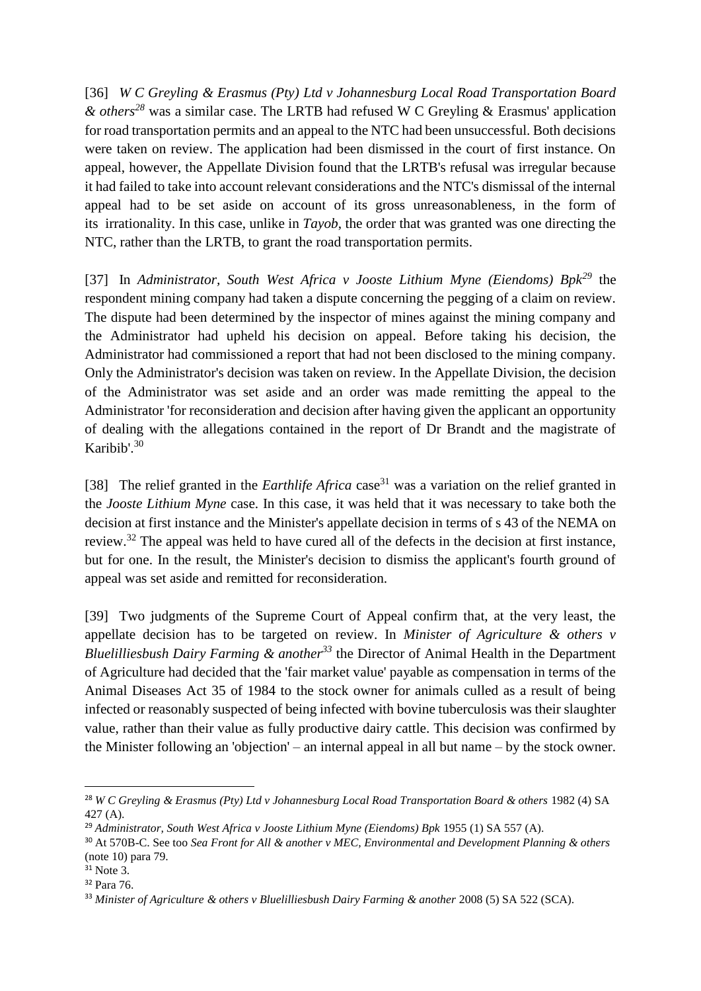[36] *W C Greyling & Erasmus (Pty) Ltd v Johannesburg Local Road Transportation Board & others<sup>28</sup>* was a similar case. The LRTB had refused W C Greyling & Erasmus' application for road transportation permits and an appeal to the NTC had been unsuccessful. Both decisions were taken on review. The application had been dismissed in the court of first instance. On appeal, however, the Appellate Division found that the LRTB's refusal was irregular because it had failed to take into account relevant considerations and the NTC's dismissal of the internal appeal had to be set aside on account of its gross unreasonableness, in the form of its irrationality. In this case, unlike in *Tayob*, the order that was granted was one directing the NTC, rather than the LRTB, to grant the road transportation permits.

[37] In *Administrator, South West Africa v Jooste Lithium Myne (Eiendoms) Bpk<sup>29</sup>* the respondent mining company had taken a dispute concerning the pegging of a claim on review. The dispute had been determined by the inspector of mines against the mining company and the Administrator had upheld his decision on appeal. Before taking his decision, the Administrator had commissioned a report that had not been disclosed to the mining company. Only the Administrator's decision was taken on review. In the Appellate Division, the decision of the Administrator was set aside and an order was made remitting the appeal to the Administrator 'for reconsideration and decision after having given the applicant an opportunity of dealing with the allegations contained in the report of Dr Brandt and the magistrate of Karibib'.<sup>30</sup>

[38] The relief granted in the *Earthlife Africa* case<sup>31</sup> was a variation on the relief granted in the *Jooste Lithium Myne* case. In this case, it was held that it was necessary to take both the decision at first instance and the Minister's appellate decision in terms of s 43 of the NEMA on review.<sup>32</sup> The appeal was held to have cured all of the defects in the decision at first instance, but for one. In the result, the Minister's decision to dismiss the applicant's fourth ground of appeal was set aside and remitted for reconsideration.

[39] Two judgments of the Supreme Court of Appeal confirm that, at the very least, the appellate decision has to be targeted on review. In *Minister of Agriculture & others v Bluelilliesbush Dairy Farming & another<sup>33</sup>* the Director of Animal Health in the Department of Agriculture had decided that the 'fair market value' payable as compensation in terms of the Animal Diseases Act 35 of 1984 to the stock owner for animals culled as a result of being infected or reasonably suspected of being infected with bovine tuberculosis was their slaughter value, rather than their value as fully productive dairy cattle. This decision was confirmed by the Minister following an 'objection' – an internal appeal in all but name – by the stock owner.

**.** 

<sup>28</sup> *W C Greyling & Erasmus (Pty) Ltd v Johannesburg Local Road Transportation Board & others* 1982 (4) SA 427 (A).

<sup>&</sup>lt;sup>29</sup> Administrator, South West Africa v Jooste Lithium Myne (Eiendoms) Bpk 1955 (1) SA 557 (A).

<sup>30</sup> At 570B-C. See too *Sea Front for All & another v MEC, Environmental and Development Planning & others* (note 10) para 79.

<sup>&</sup>lt;sup>31</sup> Note 3.

<sup>32</sup> Para 76.

<sup>33</sup> *Minister of Agriculture & others v Bluelilliesbush Dairy Farming & another* 2008 (5) SA 522 (SCA).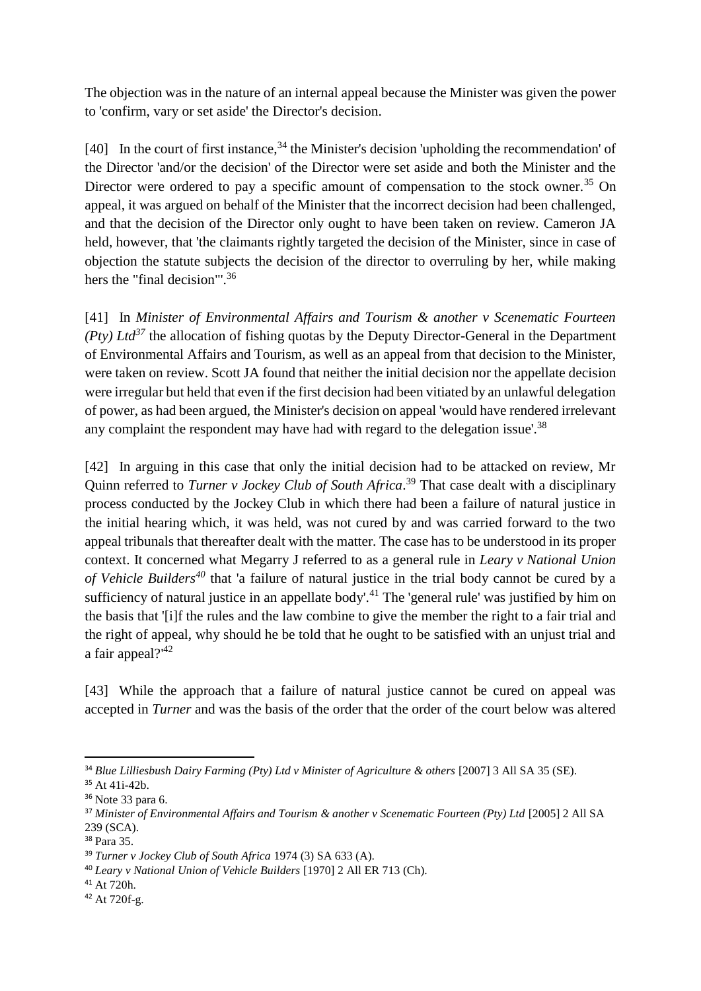The objection was in the nature of an internal appeal because the Minister was given the power to 'confirm, vary or set aside' the Director's decision.

[40] In the court of first instance,  $34$  the Minister's decision 'upholding the recommendation' of the Director 'and/or the decision' of the Director were set aside and both the Minister and the Director were ordered to pay a specific amount of compensation to the stock owner.<sup>35</sup> On appeal, it was argued on behalf of the Minister that the incorrect decision had been challenged, and that the decision of the Director only ought to have been taken on review. Cameron JA held, however, that 'the claimants rightly targeted the decision of the Minister, since in case of objection the statute subjects the decision of the director to overruling by her, while making hers the "final decision"<sup>36</sup>

[41] In *Minister of Environmental Affairs and Tourism & another v Scenematic Fourteen (Pty) Ltd<sup>37</sup>* the allocation of fishing quotas by the Deputy Director-General in the Department of Environmental Affairs and Tourism, as well as an appeal from that decision to the Minister, were taken on review. Scott JA found that neither the initial decision nor the appellate decision were irregular but held that even if the first decision had been vitiated by an unlawful delegation of power, as had been argued, the Minister's decision on appeal 'would have rendered irrelevant any complaint the respondent may have had with regard to the delegation issue'.<sup>38</sup>

[42] In arguing in this case that only the initial decision had to be attacked on review, Mr Quinn referred to *Turner v Jockey Club of South Africa*. <sup>39</sup> That case dealt with a disciplinary process conducted by the Jockey Club in which there had been a failure of natural justice in the initial hearing which, it was held, was not cured by and was carried forward to the two appeal tribunals that thereafter dealt with the matter. The case has to be understood in its proper context. It concerned what Megarry J referred to as a general rule in *Leary v National Union of Vehicle Builders<sup>40</sup>* that 'a failure of natural justice in the trial body cannot be cured by a sufficiency of natural justice in an appellate body'.<sup>41</sup> The 'general rule' was justified by him on the basis that '[i]f the rules and the law combine to give the member the right to a fair trial and the right of appeal, why should he be told that he ought to be satisfied with an unjust trial and a fair appeal?'<sup>42</sup>

[43] While the approach that a failure of natural justice cannot be cured on appeal was accepted in *Turner* and was the basis of the order that the order of the court below was altered

**.** 

<sup>34</sup> *Blue Lilliesbush Dairy Farming (Pty) Ltd v Minister of Agriculture & others* [2007] 3 All SA 35 (SE).

<sup>35</sup> At 41i-42b.

<sup>36</sup> Note 33 para 6.

<sup>37</sup> *Minister of Environmental Affairs and Tourism & another v Scenematic Fourteen (Pty) Ltd* [2005] 2 All SA 239 (SCA).

<sup>38</sup> Para 35.

<sup>39</sup> *Turner v Jockey Club of South Africa* 1974 (3) SA 633 (A).

<sup>40</sup> *Leary v National Union of Vehicle Builders* [1970] 2 All ER 713 (Ch).

<sup>41</sup> At 720h.

<sup>42</sup> At 720f-g.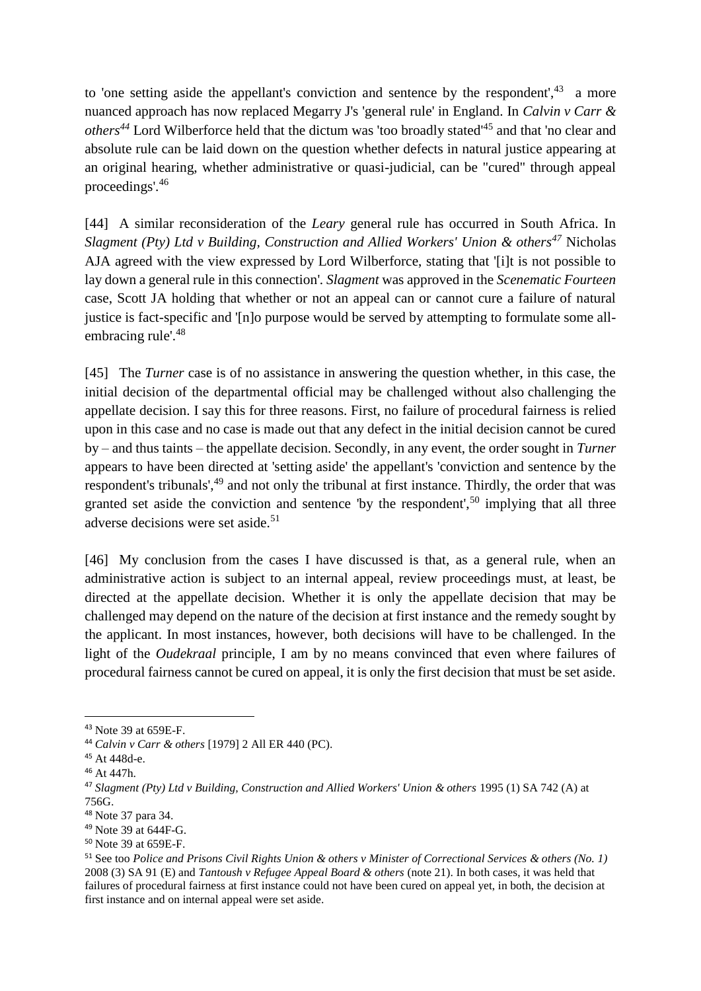to 'one setting aside the appellant's conviction and sentence by the respondent', $43$  a more nuanced approach has now replaced Megarry J's 'general rule' in England. In *Calvin v Carr & others<sup>44</sup>* Lord Wilberforce held that the dictum was 'too broadly stated'<sup>45</sup> and that 'no clear and absolute rule can be laid down on the question whether defects in natural justice appearing at an original hearing, whether administrative or quasi-judicial, can be "cured" through appeal proceedings'.<sup>46</sup>

[44] A similar reconsideration of the *Leary* general rule has occurred in South Africa. In *Slagment (Pty) Ltd v Building, Construction and Allied Workers' Union & others<sup>47</sup>* Nicholas AJA agreed with the view expressed by Lord Wilberforce, stating that '[i]t is not possible to lay down a general rule in this connection'*. Slagment* was approved in the *Scenematic Fourteen* case, Scott JA holding that whether or not an appeal can or cannot cure a failure of natural justice is fact-specific and '[n]o purpose would be served by attempting to formulate some allembracing rule'.<sup>48</sup>

[45] The *Turner* case is of no assistance in answering the question whether, in this case, the initial decision of the departmental official may be challenged without also challenging the appellate decision. I say this for three reasons. First, no failure of procedural fairness is relied upon in this case and no case is made out that any defect in the initial decision cannot be cured by – and thus taints – the appellate decision. Secondly, in any event, the order sought in *Turner* appears to have been directed at 'setting aside' the appellant's 'conviction and sentence by the respondent's tribunals',<sup>49</sup> and not only the tribunal at first instance. Thirdly, the order that was granted set aside the conviction and sentence 'by the respondent',<sup>50</sup> implying that all three adverse decisions were set aside.<sup>51</sup>

[46] My conclusion from the cases I have discussed is that, as a general rule, when an administrative action is subject to an internal appeal, review proceedings must, at least, be directed at the appellate decision. Whether it is only the appellate decision that may be challenged may depend on the nature of the decision at first instance and the remedy sought by the applicant. In most instances, however, both decisions will have to be challenged. In the light of the *Oudekraal* principle, I am by no means convinced that even where failures of procedural fairness cannot be cured on appeal, it is only the first decision that must be set aside.

 $\overline{a}$ 

<sup>43</sup> Note 39 at 659E-F.

<sup>44</sup> *Calvin v Carr & others* [1979] 2 All ER 440 (PC).

<sup>45</sup> At 448d-e.

<sup>46</sup> At 447h.

<sup>47</sup> *Slagment (Pty) Ltd v Building, Construction and Allied Workers' Union & others* 1995 (1) SA 742 (A) at 756G.

<sup>48</sup> Note 37 para 34.

<sup>49</sup> Note 39 at 644F-G.

<sup>50</sup> Note 39 at 659E-F.

<sup>51</sup> See too *Police and Prisons Civil Rights Union & others v Minister of Correctional Services & others (No. 1)* 2008 (3) SA 91 (E) and *Tantoush v Refugee Appeal Board & others* (note 21). In both cases, it was held that failures of procedural fairness at first instance could not have been cured on appeal yet, in both, the decision at first instance and on internal appeal were set aside.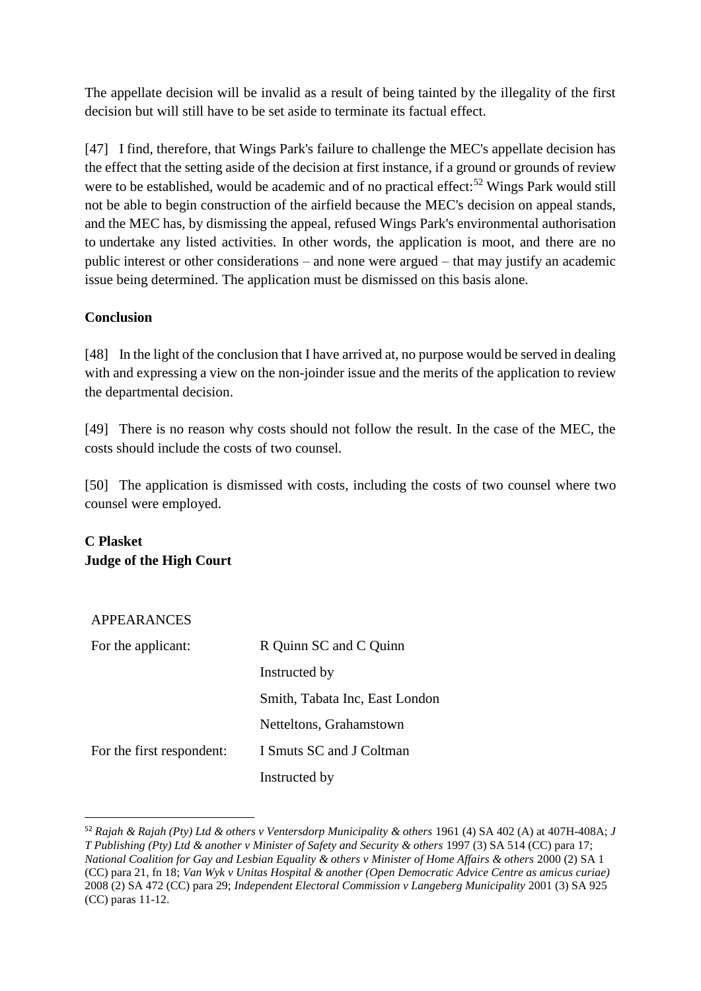The appellate decision will be invalid as a result of being tainted by the illegality of the first decision but will still have to be set aside to terminate its factual effect.

[47] I find, therefore, that Wings Park's failure to challenge the MEC's appellate decision has the effect that the setting aside of the decision at first instance, if a ground or grounds of review were to be established, would be academic and of no practical effect:<sup>52</sup> Wings Park would still not be able to begin construction of the airfield because the MEC's decision on appeal stands, and the MEC has, by dismissing the appeal, refused Wings Park's environmental authorisation to undertake any listed activities. In other words, the application is moot, and there are no public interest or other considerations – and none were argued – that may justify an academic issue being determined. The application must be dismissed on this basis alone.

### **Conclusion**

[48] In the light of the conclusion that I have arrived at, no purpose would be served in dealing with and expressing a view on the non-joinder issue and the merits of the application to review the departmental decision.

[49] There is no reason why costs should not follow the result. In the case of the MEC, the costs should include the costs of two counsel.

[50] The application is dismissed with costs, including the costs of two counsel where two counsel were employed.

# **C Plasket Judge of the High Court**

#### APPEARANCES

1

| For the applicant:        | R Quinn SC and C Quinn         |
|---------------------------|--------------------------------|
|                           | Instructed by                  |
|                           | Smith, Tabata Inc, East London |
|                           | Netteltons, Grahamstown        |
| For the first respondent: | I Smuts SC and J Coltman       |
|                           | Instructed by                  |

<sup>52</sup> *Rajah & Rajah (Pty) Ltd & others v Ventersdorp Municipality & others* 1961 (4) SA 402 (A) at 407H-408A; *J T Publishing (Pty) Ltd & another v Minister of Safety and Security & others* 1997 (3) SA 514 (CC) para 17; *National Coalition for Gay and Lesbian Equality & others v Minister of Home Affairs & others* 2000 (2) SA 1 (CC) para 21, fn 18; *Van Wyk v Unitas Hospital & another (Open Democratic Advice Centre as amicus curiae)* 2008 (2) SA 472 (CC) para 29; *Independent Electoral Commission v Langeberg Municipality* 2001 (3) SA 925 (CC) paras 11-12.